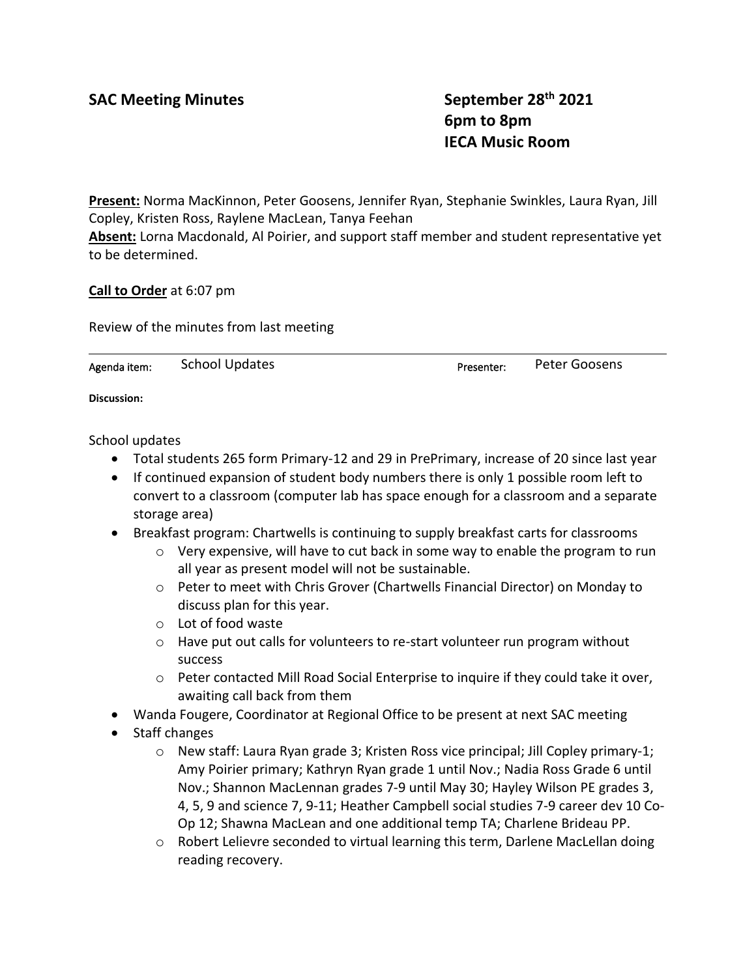SAC Meeting Minutes **SAC Meeting Minutes** September 28<sup>th</sup> 2021 **6pm to 8pm IECA Music Room**

**Present:** Norma MacKinnon, Peter Goosens, Jennifer Ryan, Stephanie Swinkles, Laura Ryan, Jill Copley, Kristen Ross, Raylene MacLean, Tanya Feehan

**Absent:** Lorna Macdonald, Al Poirier, and support staff member and student representative yet to be determined.

**Call to Order** at 6:07 pm

Review of the minutes from last meeting

Agenda item: School Updates **Presenter:** Peter Goosens

**Discussion:**

School updates

- Total students 265 form Primary-12 and 29 in PrePrimary, increase of 20 since last year
- If continued expansion of student body numbers there is only 1 possible room left to convert to a classroom (computer lab has space enough for a classroom and a separate storage area)
- Breakfast program: Chartwells is continuing to supply breakfast carts for classrooms
	- $\circ$  Very expensive, will have to cut back in some way to enable the program to run all year as present model will not be sustainable.
	- o Peter to meet with Chris Grover (Chartwells Financial Director) on Monday to discuss plan for this year.
	- o Lot of food waste
	- $\circ$  Have put out calls for volunteers to re-start volunteer run program without success
	- $\circ$  Peter contacted Mill Road Social Enterprise to inquire if they could take it over, awaiting call back from them
- Wanda Fougere, Coordinator at Regional Office to be present at next SAC meeting
- Staff changes
	- $\circ$  New staff: Laura Ryan grade 3; Kristen Ross vice principal; Jill Copley primary-1; Amy Poirier primary; Kathryn Ryan grade 1 until Nov.; Nadia Ross Grade 6 until Nov.; Shannon MacLennan grades 7-9 until May 30; Hayley Wilson PE grades 3, 4, 5, 9 and science 7, 9-11; Heather Campbell social studies 7-9 career dev 10 Co-Op 12; Shawna MacLean and one additional temp TA; Charlene Brideau PP.
	- $\circ$  Robert Lelievre seconded to virtual learning this term, Darlene MacLellan doing reading recovery.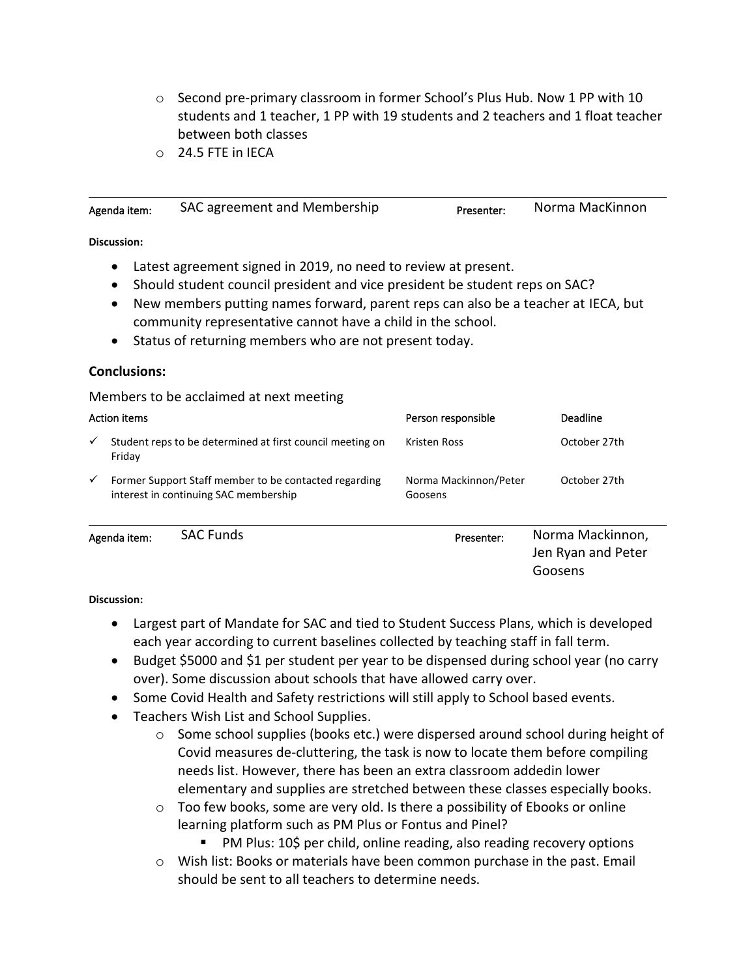- $\circ$  Second pre-primary classroom in former School's Plus Hub. Now 1 PP with 10 students and 1 teacher, 1 PP with 19 students and 2 teachers and 1 float teacher between both classes
- o 24.5 FTE in IECA

| Agenda item: | SAC agreement and Membership                                   | Presenter: | Norma MacKinnon |
|--------------|----------------------------------------------------------------|------------|-----------------|
| Discussion:  |                                                                |            |                 |
|              | Latest agreement signed in 2019, no need to review at present. |            |                 |

- Should student council president and vice president be student reps on SAC?
- New members putting names forward, parent reps can also be a teacher at IECA, but community representative cannot have a child in the school.
- Status of returning members who are not present today.

## **Conclusions:**

Members to be acclaimed at next meeting

|              | Action items |                                                                                                | Person responsible               | Deadline                               |
|--------------|--------------|------------------------------------------------------------------------------------------------|----------------------------------|----------------------------------------|
| $\checkmark$ | Friday       | Student reps to be determined at first council meeting on                                      | Kristen Ross                     | October 27th                           |
| $\checkmark$ |              | Former Support Staff member to be contacted regarding<br>interest in continuing SAC membership | Norma Mackinnon/Peter<br>Goosens | October 27th                           |
|              | Agenda item: | <b>SAC Funds</b>                                                                               | Presenter:                       | Norma Mackinnon,<br>Jen Ryan and Peter |

## **Discussion:**

- Largest part of Mandate for SAC and tied to Student Success Plans, which is developed each year according to current baselines collected by teaching staff in fall term.
- Budget \$5000 and \$1 per student per year to be dispensed during school year (no carry over). Some discussion about schools that have allowed carry over.
- Some Covid Health and Safety restrictions will still apply to School based events.
- Teachers Wish List and School Supplies.
	- $\circ$  Some school supplies (books etc.) were dispersed around school during height of Covid measures de-cluttering, the task is now to locate them before compiling needs list. However, there has been an extra classroom addedin lower elementary and supplies are stretched between these classes especially books.

Goosens

- o Too few books, some are very old. Is there a possibility of Ebooks or online learning platform such as PM Plus or Fontus and Pinel?
	- PM Plus: 10\$ per child, online reading, also reading recovery options
- o Wish list: Books or materials have been common purchase in the past. Email should be sent to all teachers to determine needs.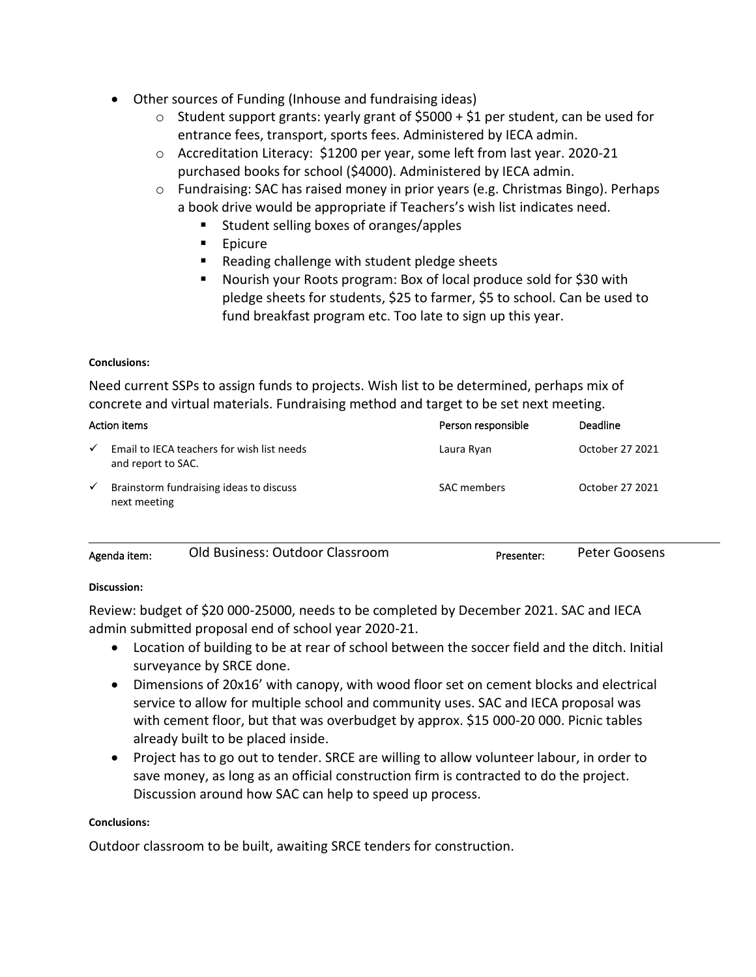- Other sources of Funding (Inhouse and fundraising ideas)
	- $\circ$  Student support grants: yearly grant of \$5000 + \$1 per student, can be used for entrance fees, transport, sports fees. Administered by IECA admin.
	- o Accreditation Literacy: \$1200 per year, some left from last year. 2020-21 purchased books for school (\$4000). Administered by IECA admin.
	- o Fundraising: SAC has raised money in prior years (e.g. Christmas Bingo). Perhaps a book drive would be appropriate if Teachers's wish list indicates need.
		- Student selling boxes of oranges/apples
		- Epicure
		- Reading challenge with student pledge sheets
		- Nourish your Roots program: Box of local produce sold for \$30 with pledge sheets for students, \$25 to farmer, \$5 to school. Can be used to fund breakfast program etc. Too late to sign up this year.

#### **Conclusions:**

Need current SSPs to assign funds to projects. Wish list to be determined, perhaps mix of concrete and virtual materials. Fundraising method and target to be set next meeting.

| Action items |                                                                  | Person responsible | <b>Deadline</b> |
|--------------|------------------------------------------------------------------|--------------------|-----------------|
| $\checkmark$ | Email to IECA teachers for wish list needs<br>and report to SAC. | Laura Ryan         | October 27 2021 |
| $\checkmark$ | Brainstorm fundraising ideas to discuss<br>next meeting          | <b>SAC</b> members | October 27 2021 |

| Agenda item: | Old Business: Outdoor Classroom | Presenter: | Peter Goosens |
|--------------|---------------------------------|------------|---------------|
|              |                                 |            |               |

## **Discussion:**

Review: budget of \$20 000-25000, needs to be completed by December 2021. SAC and IECA admin submitted proposal end of school year 2020-21.

- Location of building to be at rear of school between the soccer field and the ditch. Initial surveyance by SRCE done.
- Dimensions of 20x16' with canopy, with wood floor set on cement blocks and electrical service to allow for multiple school and community uses. SAC and IECA proposal was with cement floor, but that was overbudget by approx. \$15 000-20 000. Picnic tables already built to be placed inside.
- Project has to go out to tender. SRCE are willing to allow volunteer labour, in order to save money, as long as an official construction firm is contracted to do the project. Discussion around how SAC can help to speed up process.

#### **Conclusions:**

Outdoor classroom to be built, awaiting SRCE tenders for construction.